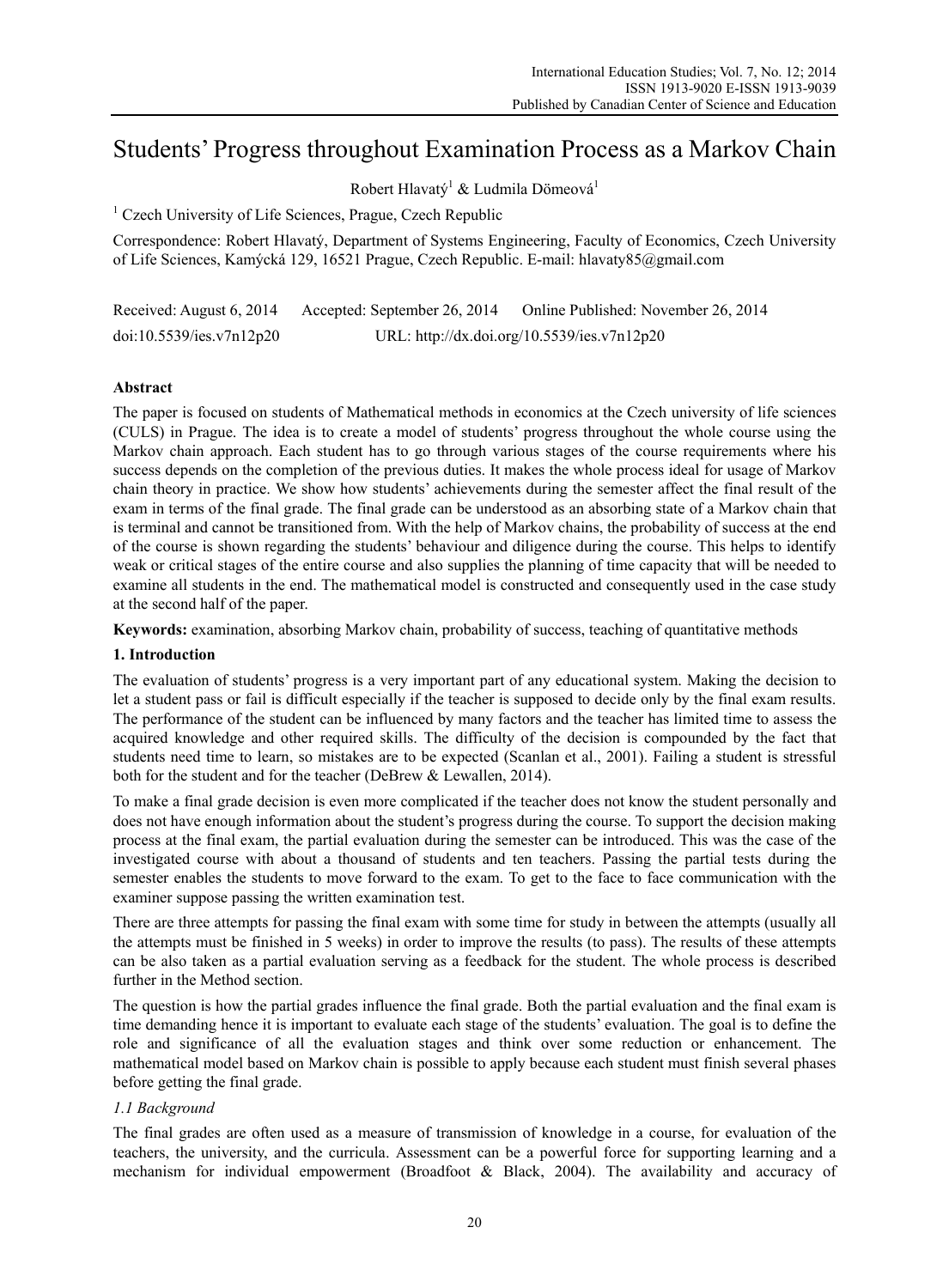# Students' Progress throughout Examination Process as a Markov Chain

Robert Hlavatý $^1$  & Ludmila Dömeová $^1$ 

<sup>1</sup> Czech University of Life Sciences, Prague, Czech Republic

Correspondence: Robert Hlavatý, Department of Systems Engineering, Faculty of Economics, Czech University of Life Sciences, Kamýcká 129, 16521 Prague, Czech Republic. E-mail: hlavaty85@gmail.com

Received: August 6, 2014 Accepted: September 26, 2014 Online Published: November 26, 2014 doi:10.5539/ies.v7n12p20 URL: http://dx.doi.org/10.5539/ies.v7n12p20

# **Abstract**

The paper is focused on students of Mathematical methods in economics at the Czech university of life sciences (CULS) in Prague. The idea is to create a model of students' progress throughout the whole course using the Markov chain approach. Each student has to go through various stages of the course requirements where his success depends on the completion of the previous duties. It makes the whole process ideal for usage of Markov chain theory in practice. We show how students' achievements during the semester affect the final result of the exam in terms of the final grade. The final grade can be understood as an absorbing state of a Markov chain that is terminal and cannot be transitioned from. With the help of Markov chains, the probability of success at the end of the course is shown regarding the students' behaviour and diligence during the course. This helps to identify weak or critical stages of the entire course and also supplies the planning of time capacity that will be needed to examine all students in the end. The mathematical model is constructed and consequently used in the case study at the second half of the paper.

**Keywords:** examination, absorbing Markov chain, probability of success, teaching of quantitative methods

# **1. Introduction**

The evaluation of students' progress is a very important part of any educational system. Making the decision to let a student pass or fail is difficult especially if the teacher is supposed to decide only by the final exam results. The performance of the student can be influenced by many factors and the teacher has limited time to assess the acquired knowledge and other required skills. The difficulty of the decision is compounded by the fact that students need time to learn, so mistakes are to be expected (Scanlan et al., 2001). Failing a student is stressful both for the student and for the teacher (DeBrew & Lewallen, 2014).

To make a final grade decision is even more complicated if the teacher does not know the student personally and does not have enough information about the student's progress during the course. To support the decision making process at the final exam, the partial evaluation during the semester can be introduced. This was the case of the investigated course with about a thousand of students and ten teachers. Passing the partial tests during the semester enables the students to move forward to the exam. To get to the face to face communication with the examiner suppose passing the written examination test.

There are three attempts for passing the final exam with some time for study in between the attempts (usually all the attempts must be finished in 5 weeks) in order to improve the results (to pass). The results of these attempts can be also taken as a partial evaluation serving as a feedback for the student. The whole process is described further in the Method section.

The question is how the partial grades influence the final grade. Both the partial evaluation and the final exam is time demanding hence it is important to evaluate each stage of the students' evaluation. The goal is to define the role and significance of all the evaluation stages and think over some reduction or enhancement. The mathematical model based on Markov chain is possible to apply because each student must finish several phases before getting the final grade.

# *1.1 Background*

The final grades are often used as a measure of transmission of knowledge in a course, for evaluation of the teachers, the university, and the curricula. Assessment can be a powerful force for supporting learning and a mechanism for individual empowerment (Broadfoot & Black, 2004). The availability and accuracy of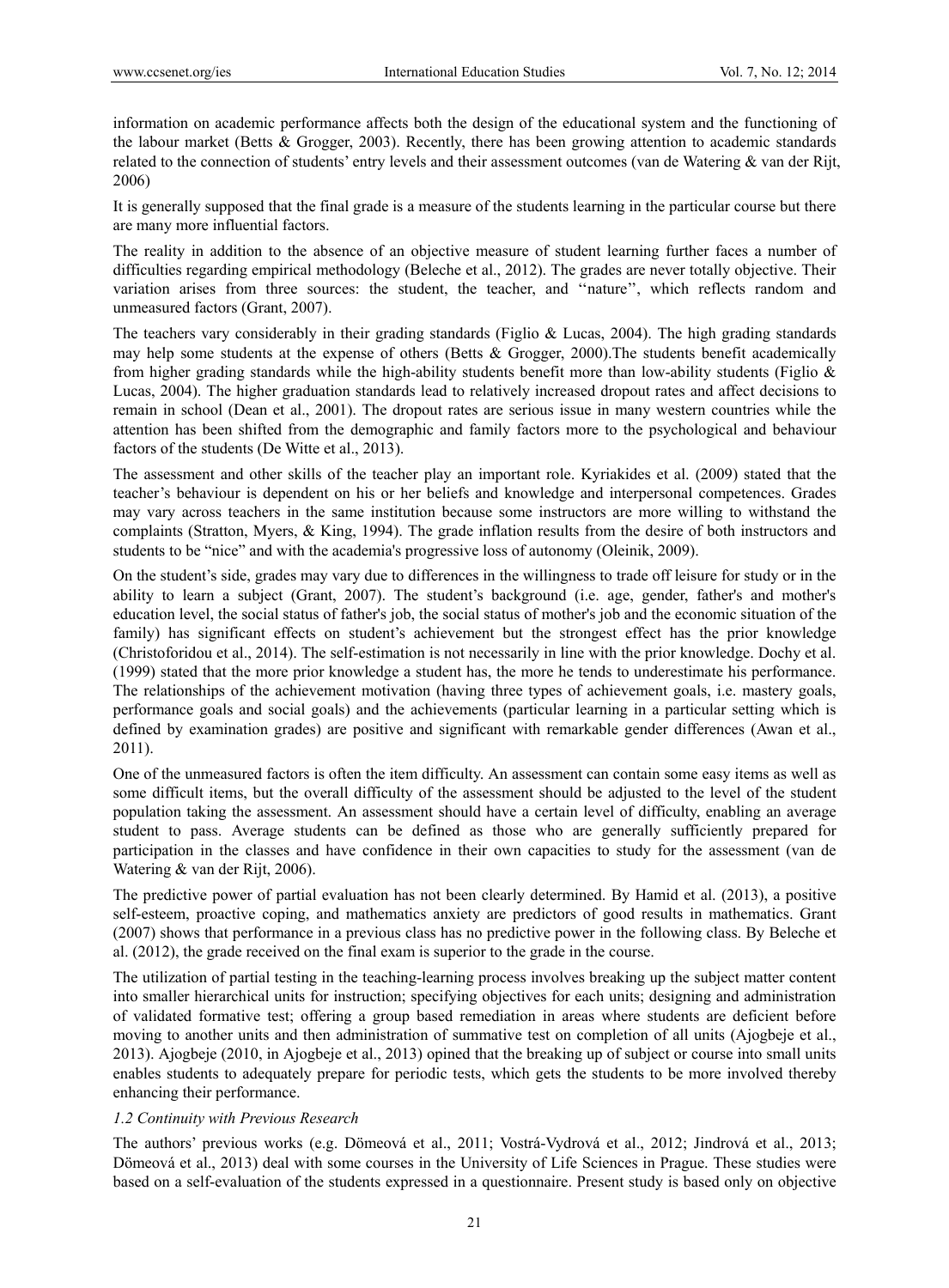information on academic performance affects both the design of the educational system and the functioning of the labour market (Betts & Grogger, 2003). Recently, there has been growing attention to academic standards related to the connection of students' entry levels and their assessment outcomes (van de Watering & van der Rijt, 2006)

It is generally supposed that the final grade is a measure of the students learning in the particular course but there are many more influential factors.

The reality in addition to the absence of an objective measure of student learning further faces a number of difficulties regarding empirical methodology (Beleche et al., 2012). The grades are never totally objective. Their variation arises from three sources: the student, the teacher, and ''nature'', which reflects random and unmeasured factors (Grant, 2007).

The teachers vary considerably in their grading standards (Figlio  $& Lucas, 2004$ ). The high grading standards may help some students at the expense of others (Betts & Grogger, 2000).The students benefit academically from higher grading standards while the high-ability students benefit more than low-ability students (Figlio & Lucas, 2004). The higher graduation standards lead to relatively increased dropout rates and affect decisions to remain in school (Dean et al., 2001). The dropout rates are serious issue in many western countries while the attention has been shifted from the demographic and family factors more to the psychological and behaviour factors of the students (De Witte et al., 2013).

The assessment and other skills of the teacher play an important role. Kyriakides et al. (2009) stated that the teacher's behaviour is dependent on his or her beliefs and knowledge and interpersonal competences. Grades may vary across teachers in the same institution because some instructors are more willing to withstand the complaints (Stratton, Myers, & King, 1994). The grade inflation results from the desire of both instructors and students to be "nice" and with the academia's progressive loss of autonomy (Oleinik, 2009).

On the student's side, grades may vary due to differences in the willingness to trade off leisure for study or in the ability to learn a subject (Grant, 2007). The student's background (i.e. age, gender, father's and mother's education level, the social status of father's job, the social status of mother's job and the economic situation of the family) has significant effects on student's achievement but the strongest effect has the prior knowledge (Christoforidou et al., 2014). The self-estimation is not necessarily in line with the prior knowledge. Dochy et al. (1999) stated that the more prior knowledge a student has, the more he tends to underestimate his performance. The relationships of the achievement motivation (having three types of achievement goals, i.e. mastery goals, performance goals and social goals) and the achievements (particular learning in a particular setting which is defined by examination grades) are positive and significant with remarkable gender differences (Awan et al., 2011).

One of the unmeasured factors is often the item difficulty. An assessment can contain some easy items as well as some difficult items, but the overall difficulty of the assessment should be adjusted to the level of the student population taking the assessment. An assessment should have a certain level of difficulty, enabling an average student to pass. Average students can be defined as those who are generally sufficiently prepared for participation in the classes and have confidence in their own capacities to study for the assessment (van de Watering & van der Rijt, 2006).

The predictive power of partial evaluation has not been clearly determined. By Hamid et al. (2013), a positive self-esteem, proactive coping, and mathematics anxiety are predictors of good results in mathematics. Grant (2007) shows that performance in a previous class has no predictive power in the following class. By Beleche et al. (2012), the grade received on the final exam is superior to the grade in the course.

The utilization of partial testing in the teaching-learning process involves breaking up the subject matter content into smaller hierarchical units for instruction; specifying objectives for each units; designing and administration of validated formative test; offering a group based remediation in areas where students are deficient before moving to another units and then administration of summative test on completion of all units (Ajogbeje et al., 2013). Ajogbeje (2010, in Ajogbeje et al., 2013) opined that the breaking up of subject or course into small units enables students to adequately prepare for periodic tests, which gets the students to be more involved thereby enhancing their performance.

# *1.2 Continuity with Previous Research*

The authors' previous works (e.g. Dömeová et al., 2011; Vostrá-Vydrová et al., 2012; Jindrová et al., 2013; Dömeová et al., 2013) deal with some courses in the University of Life Sciences in Prague. These studies were based on a self-evaluation of the students expressed in a questionnaire. Present study is based only on objective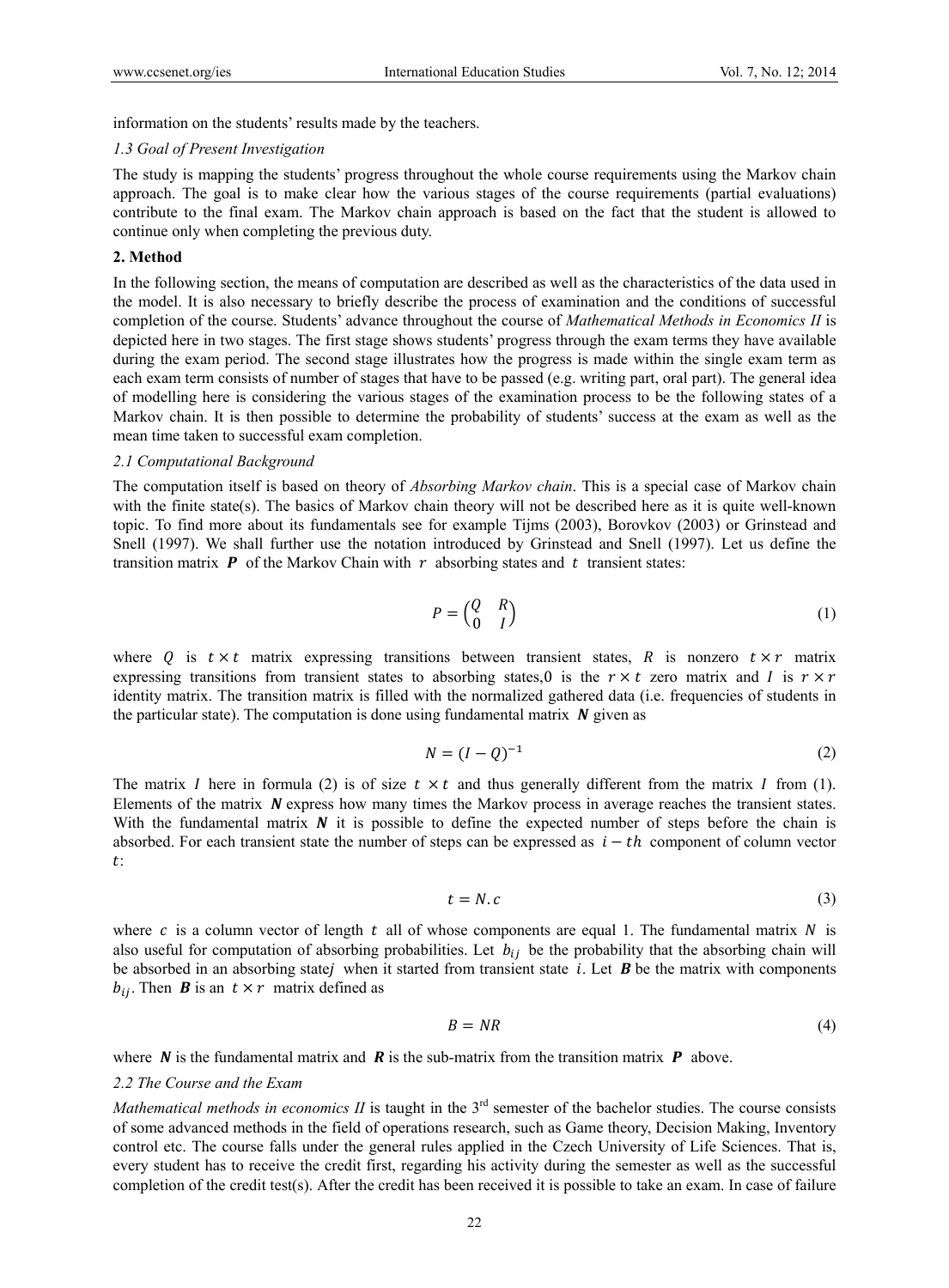information on the students' results made by the teachers.

#### *1.3 Goal of Present Investigation*

The study is mapping the students' progress throughout the whole course requirements using the Markov chain approach. The goal is to make clear how the various stages of the course requirements (partial evaluations) contribute to the final exam. The Markov chain approach is based on the fact that the student is allowed to continue only when completing the previous duty.

#### **2. Method**

In the following section, the means of computation are described as well as the characteristics of the data used in the model. It is also necessary to briefly describe the process of examination and the conditions of successful completion of the course. Students' advance throughout the course of *Mathematical Methods in Economics II* is depicted here in two stages. The first stage shows students' progress through the exam terms they have available during the exam period. The second stage illustrates how the progress is made within the single exam term as each exam term consists of number of stages that have to be passed (e.g. writing part, oral part). The general idea of modelling here is considering the various stages of the examination process to be the following states of a Markov chain. It is then possible to determine the probability of students' success at the exam as well as the mean time taken to successful exam completion.

#### *2.1 Computational Background*

The computation itself is based on theory of *Absorbing Markov chain*. This is a special case of Markov chain with the finite state(s). The basics of Markov chain theory will not be described here as it is quite well-known topic. To find more about its fundamentals see for example Tijms (2003), Borovkov (2003) or Grinstead and Snell (1997). We shall further use the notation introduced by Grinstead and Snell (1997). Let us define the transition matrix  $\boldsymbol{P}$  of the Markov Chain with  $\boldsymbol{r}$  absorbing states and  $\boldsymbol{t}$  transient states:

$$
P = \begin{pmatrix} Q & R \\ 0 & I \end{pmatrix} \tag{1}
$$

where Q is  $t \times t$  matrix expressing transitions between transient states, R is nonzero  $t \times r$  matrix expressing transitions from transient states to absorbing states,0 is the  $r \times t$  zero matrix and I is  $r \times r$ identity matrix. The transition matrix is filled with the normalized gathered data (i.e. frequencies of students in the particular state). The computation is done using fundamental matrix  $\boldsymbol{N}$  given as

$$
N = (I - Q)^{-1} \tag{2}
$$

The matrix I here in formula (2) is of size  $t \times t$  and thus generally different from the matrix I from (1). Elements of the matrix  $\vec{N}$  express how many times the Markov process in average reaches the transient states. With the fundamental matrix  $\bm{N}$  it is possible to define the expected number of steps before the chain is absorbed. For each transient state the number of steps can be expressed as  $i - th$  component of column vector  $t$ :

$$
t = N.c \tag{3}
$$

where c is a column vector of length t all of whose components are equal 1. The fundamental matrix N is also useful for computation of absorbing probabilities. Let  $b_{ij}$  be the probability that the absorbing chain will be absorbed in an absorbing state $j$  when it started from transient state  $i$ . Let  $\bf{B}$  be the matrix with components  $b_{ij}$ . Then **B** is an  $t \times r$  matrix defined as

$$
B = NR \tag{4}
$$

where  $\bf{N}$  is the fundamental matrix and  $\bf{R}$  is the sub-matrix from the transition matrix  $\bf{P}$  above.

#### *2.2 The Course and the Exam*

*Mathematical methods in economics II* is taught in the 3<sup>rd</sup> semester of the bachelor studies. The course consists of some advanced methods in the field of operations research, such as Game theory, Decision Making, Inventory control etc. The course falls under the general rules applied in the Czech University of Life Sciences. That is, every student has to receive the credit first, regarding his activity during the semester as well as the successful completion of the credit test(s). After the credit has been received it is possible to take an exam. In case of failure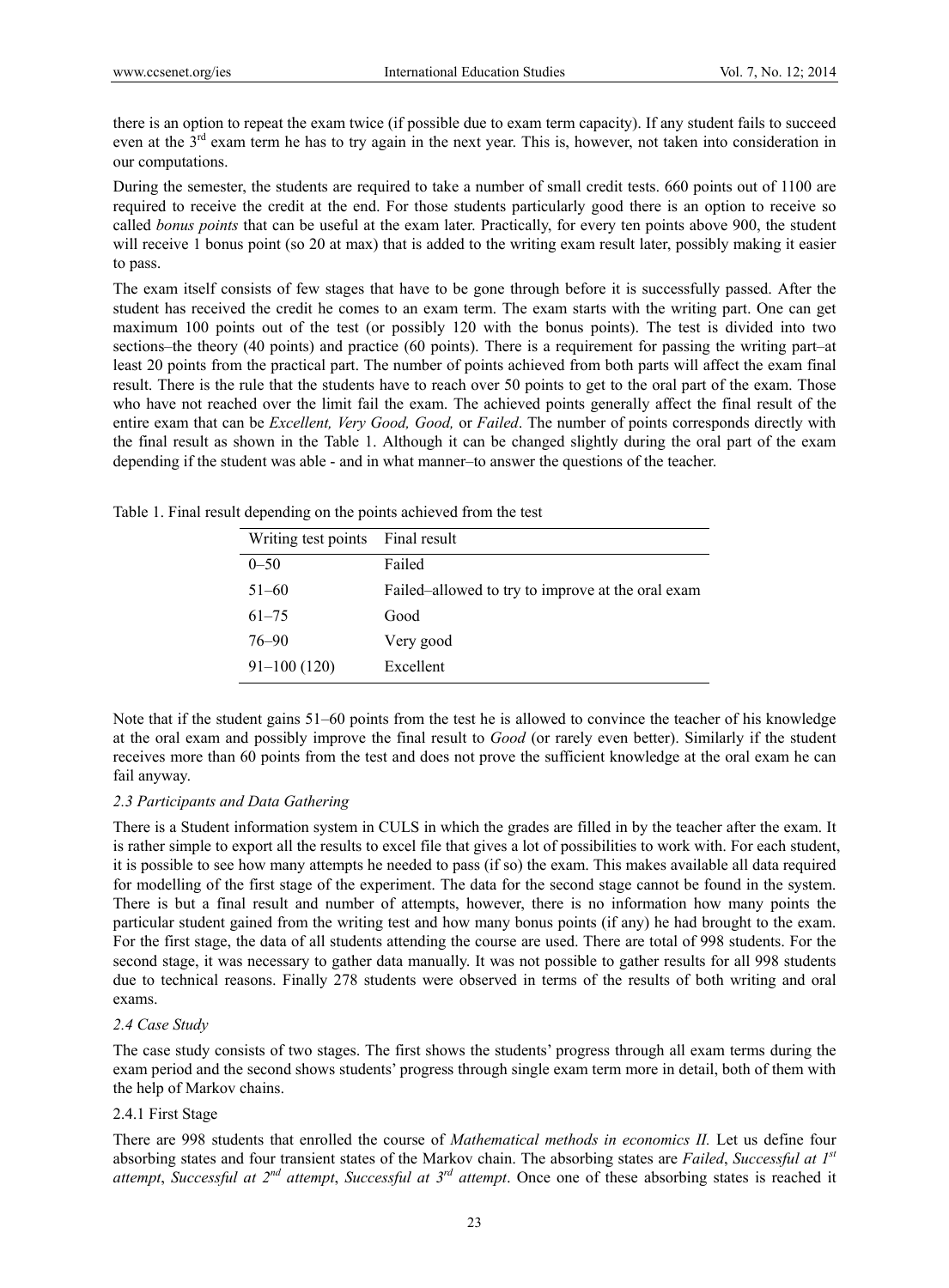there is an option to repeat the exam twice (if possible due to exam term capacity). If any student fails to succeed even at the 3<sup>rd</sup> exam term he has to try again in the next year. This is, however, not taken into consideration in our computations.

During the semester, the students are required to take a number of small credit tests. 660 points out of 1100 are required to receive the credit at the end. For those students particularly good there is an option to receive so called *bonus points* that can be useful at the exam later. Practically, for every ten points above 900, the student will receive 1 bonus point (so 20 at max) that is added to the writing exam result later, possibly making it easier to pass.

The exam itself consists of few stages that have to be gone through before it is successfully passed. After the student has received the credit he comes to an exam term. The exam starts with the writing part. One can get maximum 100 points out of the test (or possibly 120 with the bonus points). The test is divided into two sections–the theory (40 points) and practice (60 points). There is a requirement for passing the writing part–at least 20 points from the practical part. The number of points achieved from both parts will affect the exam final result. There is the rule that the students have to reach over 50 points to get to the oral part of the exam. Those who have not reached over the limit fail the exam. The achieved points generally affect the final result of the entire exam that can be *Excellent, Very Good, Good,* or *Failed*. The number of points corresponds directly with the final result as shown in the Table 1. Although it can be changed slightly during the oral part of the exam depending if the student was able - and in what manner–to answer the questions of the teacher.

| Writing test points | Final result                                      |
|---------------------|---------------------------------------------------|
| $0 - 50$            | Failed                                            |
| $51 - 60$           | Failed–allowed to try to improve at the oral exam |
| $61 - 75$           | Good                                              |
| 76-90               | Very good                                         |
| $91 - 100(120)$     | Excellent                                         |

Table 1. Final result depending on the points achieved from the test

Note that if the student gains 51–60 points from the test he is allowed to convince the teacher of his knowledge at the oral exam and possibly improve the final result to *Good* (or rarely even better). Similarly if the student receives more than 60 points from the test and does not prove the sufficient knowledge at the oral exam he can fail anyway.

## *2.3 Participants and Data Gathering*

There is a Student information system in CULS in which the grades are filled in by the teacher after the exam. It is rather simple to export all the results to excel file that gives a lot of possibilities to work with. For each student, it is possible to see how many attempts he needed to pass (if so) the exam. This makes available all data required for modelling of the first stage of the experiment. The data for the second stage cannot be found in the system. There is but a final result and number of attempts, however, there is no information how many points the particular student gained from the writing test and how many bonus points (if any) he had brought to the exam. For the first stage, the data of all students attending the course are used. There are total of 998 students. For the second stage, it was necessary to gather data manually. It was not possible to gather results for all 998 students due to technical reasons. Finally 278 students were observed in terms of the results of both writing and oral exams.

## *2.4 Case Study*

The case study consists of two stages. The first shows the students' progress through all exam terms during the exam period and the second shows students' progress through single exam term more in detail, both of them with the help of Markov chains.

## 2.4.1 First Stage

There are 998 students that enrolled the course of *Mathematical methods in economics II.* Let us define four absorbing states and four transient states of the Markov chain. The absorbing states are *Failed*, *Successful at 1st attempt*, *Successful at 2nd attempt*, *Successful at 3rd attempt*. Once one of these absorbing states is reached it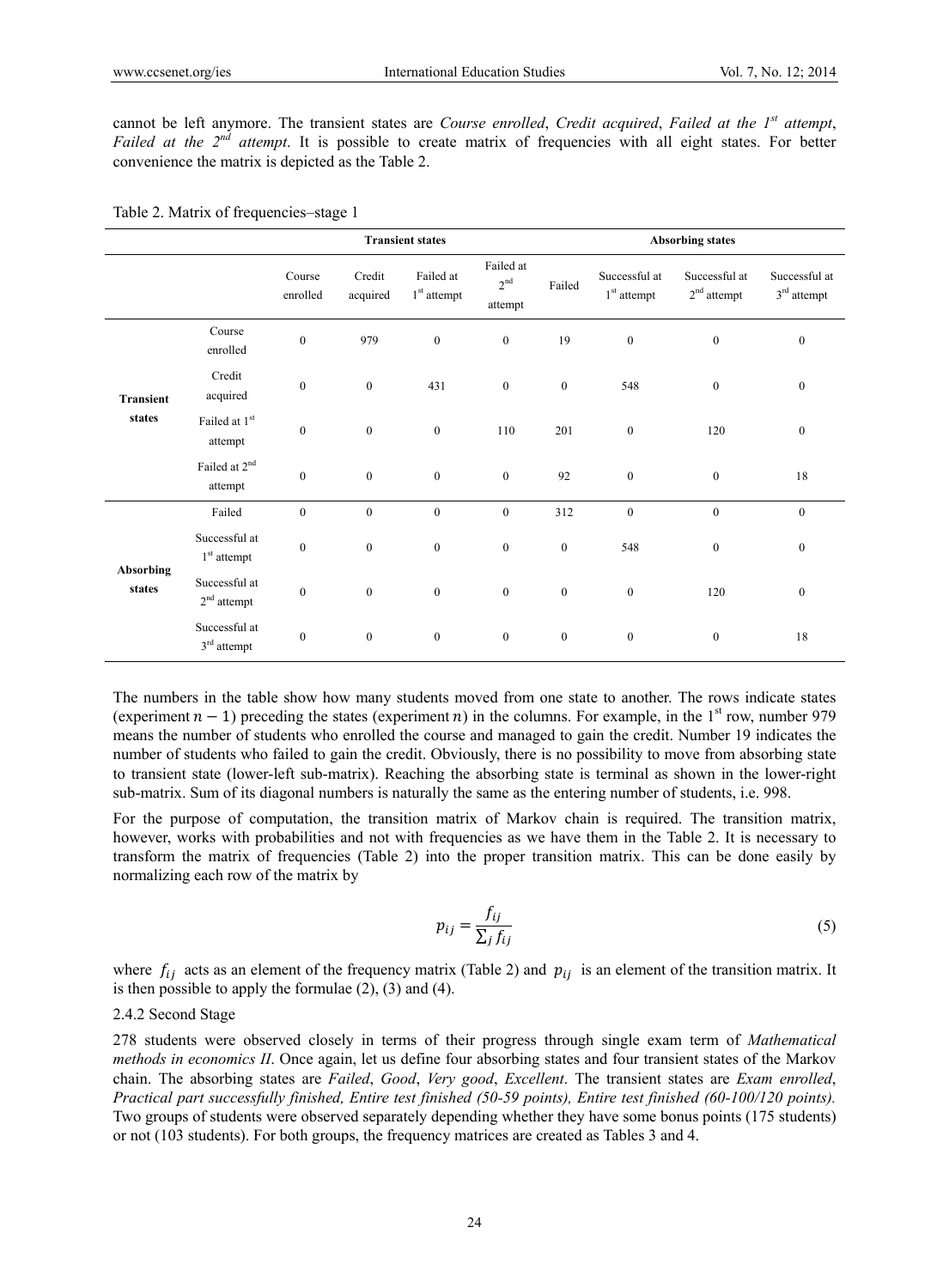cannot be left anymore. The transient states are *Course enrolled*, *Credit acquired*, *Failed at the 1st attempt*, *Failed at the 2nd attempt*. It is possible to create matrix of frequencies with all eight states. For better convenience the matrix is depicted as the Table 2.

|                            |                                      |                    |                    | <b>Transient states</b>    |                                         |                  | <b>Absorbing states</b>        |                                |                                |  |  |
|----------------------------|--------------------------------------|--------------------|--------------------|----------------------------|-----------------------------------------|------------------|--------------------------------|--------------------------------|--------------------------------|--|--|
|                            |                                      | Course<br>enrolled | Credit<br>acquired | Failed at<br>$1st$ attempt | Failed at<br>2 <sup>nd</sup><br>attempt | Failed           | Successful at<br>$1st$ attempt | Successful at<br>$2nd$ attempt | Successful at<br>$3rd$ attempt |  |  |
|                            | Course<br>enrolled                   | $\boldsymbol{0}$   | 979                | $\boldsymbol{0}$           | $\boldsymbol{0}$                        | 19               | $\boldsymbol{0}$               | $\boldsymbol{0}$               | $\bf{0}$                       |  |  |
| Transient                  | Credit<br>acquired                   | $\boldsymbol{0}$   | $\mathbf{0}$       | 431                        | $\boldsymbol{0}$                        | $\boldsymbol{0}$ | 548                            | $\boldsymbol{0}$               | $\mathbf{0}$                   |  |  |
| states                     | Failed at 1st<br>attempt             | $\boldsymbol{0}$   | $\mathbf{0}$       | $\mathbf{0}$               | 110                                     | 201              | $\boldsymbol{0}$               | 120                            | $\mathbf{0}$                   |  |  |
|                            | Failed at 2 <sup>nd</sup><br>attempt | $\boldsymbol{0}$   | $\mathbf{0}$       | $\boldsymbol{0}$           | $\boldsymbol{0}$                        | 92               | $\boldsymbol{0}$               | $\mathbf{0}$                   | 18                             |  |  |
|                            | Failed                               | $\boldsymbol{0}$   | $\mathbf{0}$       | $\mathbf{0}$               | $\boldsymbol{0}$                        | 312              | $\boldsymbol{0}$               | $\boldsymbol{0}$               | $\mathbf{0}$                   |  |  |
|                            | Successful at<br>$1st$ attempt       | $\mathbf{0}$       | $\mathbf{0}$       | $\mathbf{0}$               | $\boldsymbol{0}$                        | $\boldsymbol{0}$ | 548                            | $\boldsymbol{0}$               | $\mathbf{0}$                   |  |  |
| <b>Absorbing</b><br>states | Successful at<br>$2nd$ attempt       | $\boldsymbol{0}$   | $\mathbf{0}$       | $\boldsymbol{0}$           | $\boldsymbol{0}$                        | $\boldsymbol{0}$ | $\boldsymbol{0}$               | 120                            | $\mathbf{0}$                   |  |  |
|                            | Successful at<br>$3rd$ attempt       | $\boldsymbol{0}$   | $\mathbf{0}$       | $\boldsymbol{0}$           | $\boldsymbol{0}$                        | $\boldsymbol{0}$ | $\boldsymbol{0}$               | $\boldsymbol{0}$               | 18                             |  |  |

| Table 2. Matrix of frequencies–stage 1 |  |  |  |  |  |  |
|----------------------------------------|--|--|--|--|--|--|
|----------------------------------------|--|--|--|--|--|--|

The numbers in the table show how many students moved from one state to another. The rows indicate states (experiment  $n - 1$ ) preceding the states (experiment n) in the columns. For example, in the 1<sup>st</sup> row, number 979 means the number of students who enrolled the course and managed to gain the credit. Number 19 indicates the number of students who failed to gain the credit. Obviously, there is no possibility to move from absorbing state to transient state (lower-left sub-matrix). Reaching the absorbing state is terminal as shown in the lower-right sub-matrix. Sum of its diagonal numbers is naturally the same as the entering number of students, i.e. 998.

For the purpose of computation, the transition matrix of Markov chain is required. The transition matrix, however, works with probabilities and not with frequencies as we have them in the Table 2. It is necessary to transform the matrix of frequencies (Table 2) into the proper transition matrix. This can be done easily by normalizing each row of the matrix by

$$
p_{ij} = \frac{f_{ij}}{\sum_j f_{ij}}\tag{5}
$$

where  $f_{ij}$  acts as an element of the frequency matrix (Table 2) and  $p_{ij}$  is an element of the transition matrix. It is then possible to apply the formulae  $(2)$ ,  $(3)$  and  $(4)$ .

#### 2.4.2 Second Stage

278 students were observed closely in terms of their progress through single exam term of *Mathematical methods in economics II*. Once again, let us define four absorbing states and four transient states of the Markov chain. The absorbing states are *Failed*, *Good*, *Very good*, *Excellent*. The transient states are *Exam enrolled*, *Practical part successfully finished, Entire test finished (50-59 points), Entire test finished (60-100/120 points).* Two groups of students were observed separately depending whether they have some bonus points (175 students) or not (103 students). For both groups, the frequency matrices are created as Tables 3 and 4.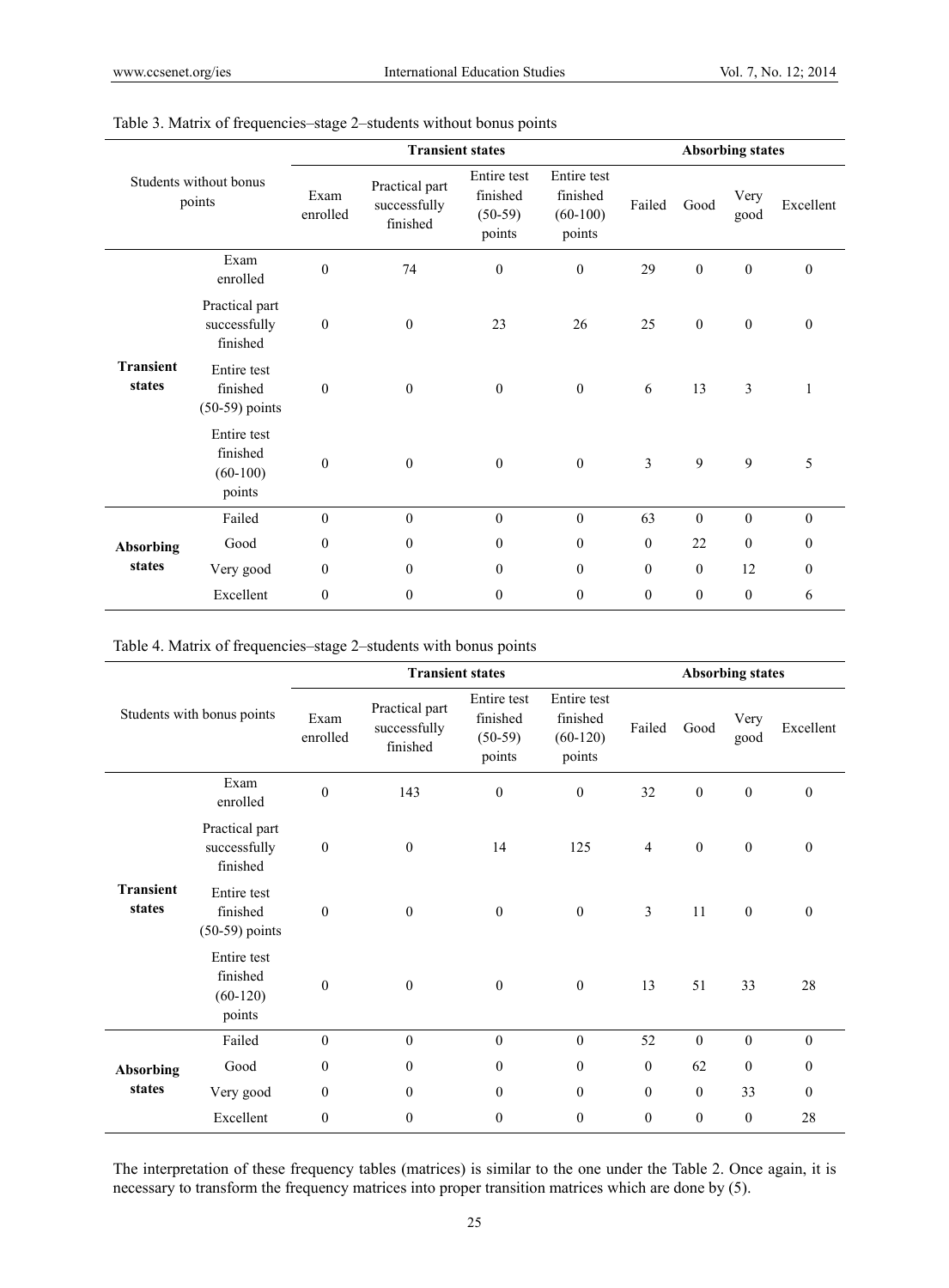|                            |                                                 |                  | <b>Transient states</b>                    | <b>Absorbing states</b>                        |                                                 |                |                  |                  |                  |
|----------------------------|-------------------------------------------------|------------------|--------------------------------------------|------------------------------------------------|-------------------------------------------------|----------------|------------------|------------------|------------------|
|                            | Students without bonus<br>points                | Exam<br>enrolled | Practical part<br>successfully<br>finished | Entire test<br>finished<br>$(50-59)$<br>points | Entire test<br>finished<br>$(60-100)$<br>points | Failed         | Good             | Very<br>good     | Excellent        |
|                            | Exam<br>enrolled                                | $\boldsymbol{0}$ | 74                                         | $\boldsymbol{0}$                               | $\boldsymbol{0}$                                | 29             | $\boldsymbol{0}$ | $\boldsymbol{0}$ | $\boldsymbol{0}$ |
|                            | Practical part<br>successfully<br>finished      | $\boldsymbol{0}$ | $\boldsymbol{0}$                           | 23                                             | 26                                              | 25             | $\boldsymbol{0}$ | $\boldsymbol{0}$ | $\boldsymbol{0}$ |
| <b>Transient</b><br>states | Entire test<br>finished<br>$(50-59)$ points     | $\boldsymbol{0}$ | $\boldsymbol{0}$                           | $\boldsymbol{0}$                               | $\boldsymbol{0}$                                | 6              | 13               | 3                | $\mathbf{1}$     |
|                            | Entire test<br>finished<br>$(60-100)$<br>points | $\boldsymbol{0}$ | $\boldsymbol{0}$                           | $\boldsymbol{0}$                               | $\boldsymbol{0}$                                | $\overline{3}$ | 9                | 9                | 5                |
|                            | Failed                                          | $\mathbf{0}$     | $\boldsymbol{0}$                           | $\boldsymbol{0}$                               | $\mathbf{0}$                                    | 63             | $\mathbf{0}$     | $\boldsymbol{0}$ | $\mathbf{0}$     |
| <b>Absorbing</b>           | Good                                            | $\boldsymbol{0}$ | $\bf{0}$                                   | $\bf{0}$                                       | $\boldsymbol{0}$                                | $\theta$       | 22               | $\mathbf{0}$     | $\bf{0}$         |
| states                     | Very good                                       | $\boldsymbol{0}$ | $\mathbf{0}$                               | $\mathbf{0}$                                   | $\mathbf{0}$                                    | $\theta$       | $\mathbf{0}$     | 12               | $\mathbf{0}$     |
|                            | Excellent                                       | $\mathbf{0}$     | $\mathbf{0}$                               | $\mathbf{0}$                                   | $\mathbf{0}$                                    | $\theta$       | $\boldsymbol{0}$ | $\mathbf{0}$     | 6                |

# Table 3. Matrix of frequencies–stage 2–students without bonus points

Table 4. Matrix of frequencies–stage 2–students with bonus points

|                            |                                                 |                  | <b>Transient states</b>                    | <b>Absorbing states</b>                        |                                                 |                  |                  |                  |                  |
|----------------------------|-------------------------------------------------|------------------|--------------------------------------------|------------------------------------------------|-------------------------------------------------|------------------|------------------|------------------|------------------|
|                            | Students with bonus points                      | Exam<br>enrolled | Practical part<br>successfully<br>finished | Entire test<br>finished<br>$(50-59)$<br>points | Entire test<br>finished<br>$(60-120)$<br>points | Failed           | Good             | Very<br>good     | Excellent        |
|                            | Exam<br>enrolled                                | $\boldsymbol{0}$ | 143                                        | $\mathbf{0}$                                   | $\mathbf{0}$                                    | 32               | $\boldsymbol{0}$ | $\boldsymbol{0}$ | $\boldsymbol{0}$ |
|                            | Practical part<br>successfully<br>finished      | $\boldsymbol{0}$ | $\boldsymbol{0}$                           | 14                                             | 125                                             | $\overline{4}$   | $\boldsymbol{0}$ | $\boldsymbol{0}$ | $\mathbf{0}$     |
| <b>Transient</b><br>states | Entire test<br>finished<br>$(50-59)$ points     | $\boldsymbol{0}$ | $\boldsymbol{0}$                           | $\mathbf{0}$                                   | $\boldsymbol{0}$                                | $\mathfrak{Z}$   | 11               | $\mathbf{0}$     | $\mathbf{0}$     |
|                            | Entire test<br>finished<br>$(60-120)$<br>points | $\boldsymbol{0}$ | $\boldsymbol{0}$                           | $\mathbf{0}$                                   | $\boldsymbol{0}$                                | 13               | 51               | 33               | 28               |
|                            | Failed                                          | $\boldsymbol{0}$ | $\mathbf{0}$                               | $\mathbf{0}$                                   | $\mathbf{0}$                                    | 52               | $\mathbf{0}$     | $\mathbf{0}$     | $\mathbf{0}$     |
| <b>Absorbing</b>           | Good                                            | $\boldsymbol{0}$ | $\boldsymbol{0}$                           | $\mathbf{0}$                                   | $\boldsymbol{0}$                                | $\mathbf{0}$     | 62               | $\mathbf{0}$     | 0                |
| states                     | Very good                                       | $\mathbf{0}$     | $\mathbf{0}$                               | $\mathbf{0}$                                   | $\theta$                                        | $\mathbf{0}$     | $\mathbf{0}$     | 33               | $\mathbf{0}$     |
|                            | Excellent                                       | $\boldsymbol{0}$ | $\boldsymbol{0}$                           | $\boldsymbol{0}$                               | $\boldsymbol{0}$                                | $\boldsymbol{0}$ | $\bf{0}$         | $\mathbf{0}$     | 28               |

The interpretation of these frequency tables (matrices) is similar to the one under the Table 2. Once again, it is necessary to transform the frequency matrices into proper transition matrices which are done by (5).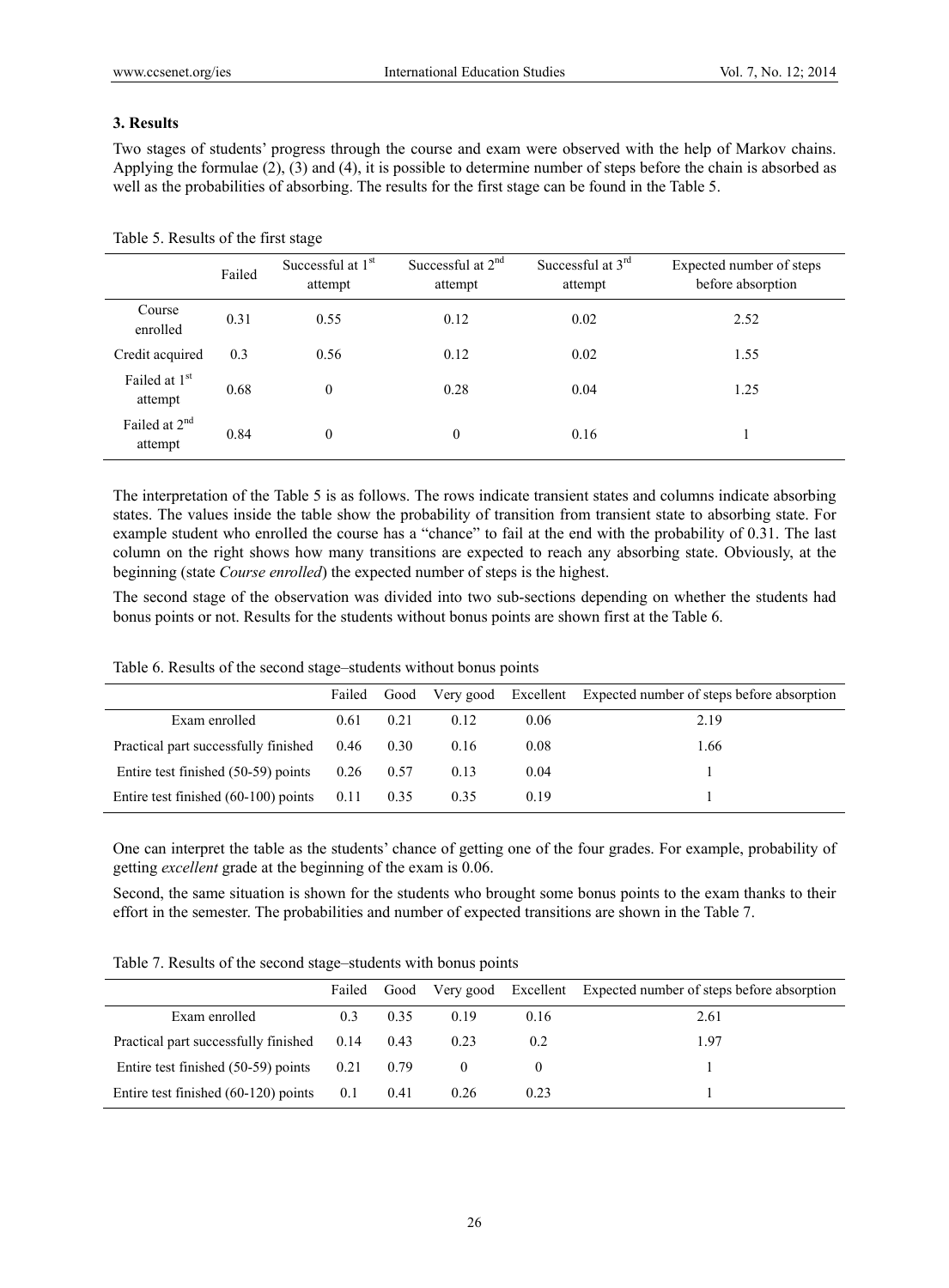## **3. Results**

Two stages of students' progress through the course and exam were observed with the help of Markov chains. Applying the formulae (2), (3) and (4), it is possible to determine number of steps before the chain is absorbed as well as the probabilities of absorbing. The results for the first stage can be found in the Table 5.

|                                      | Failed | Successful at 1 <sup>st</sup><br>attempt | Successful at $2nd$<br>attempt | Successful at $3rd$<br>attempt | Expected number of steps<br>before absorption |
|--------------------------------------|--------|------------------------------------------|--------------------------------|--------------------------------|-----------------------------------------------|
| Course<br>enrolled                   | 0.31   | 0.55                                     | 0.12                           | 0.02                           | 2.52                                          |
| Credit acquired                      | 0.3    | 0.56                                     | 0.12                           | 0.02                           | 1.55                                          |
| Failed at 1 <sup>st</sup><br>attempt | 0.68   | $\theta$                                 | 0.28                           | 0.04                           | 1.25                                          |
| Failed at $2nd$<br>attempt           | 0.84   | $\theta$                                 | $\boldsymbol{0}$               | 0.16                           |                                               |

Table 5. Results of the first stage

The interpretation of the Table 5 is as follows. The rows indicate transient states and columns indicate absorbing states. The values inside the table show the probability of transition from transient state to absorbing state. For example student who enrolled the course has a "chance" to fail at the end with the probability of 0.31. The last column on the right shows how many transitions are expected to reach any absorbing state. Obviously, at the beginning (state *Course enrolled*) the expected number of steps is the highest.

The second stage of the observation was divided into two sub-sections depending on whether the students had bonus points or not. Results for the students without bonus points are shown first at the Table 6.

|  |  | Table 6. Results of the second stage-students without bonus points |  |  |
|--|--|--------------------------------------------------------------------|--|--|
|  |  |                                                                    |  |  |

|                                        | Failed |      |      |      | Good Very good Excellent Expected number of steps before absorption |
|----------------------------------------|--------|------|------|------|---------------------------------------------------------------------|
| Exam enrolled                          | 0.61   | 0.21 | 0.12 | 0.06 | 2.19                                                                |
| Practical part successfully finished   | 0.46   | 0.30 | 0.16 | 0.08 | 1.66                                                                |
| Entire test finished (50-59) points    | 0.26   | 0.57 | 0.13 | 0.04 |                                                                     |
| Entire test finished $(60-100)$ points | 0.11   | 0.35 | 0.35 | 0.19 |                                                                     |

One can interpret the table as the students' chance of getting one of the four grades. For example, probability of getting *excellent* grade at the beginning of the exam is 0.06.

Second, the same situation is shown for the students who brought some bonus points to the exam thanks to their effort in the semester. The probabilities and number of expected transitions are shown in the Table 7.

Table 7. Results of the second stage–students with bonus points

|                                        | Failed | Good |      |      | Very good Excellent Expected number of steps before absorption |
|----------------------------------------|--------|------|------|------|----------------------------------------------------------------|
| Exam enrolled                          | 0.3    | 0.35 | 0.19 | 0.16 | 2.61                                                           |
| Practical part successfully finished   | 0.14   | 0.43 | 0.23 | 0.2  | 1.97                                                           |
| Entire test finished (50-59) points    | 0.21   | 0.79 |      |      |                                                                |
| Entire test finished $(60-120)$ points | 0.1    | 0.41 | 0.26 | 0.23 |                                                                |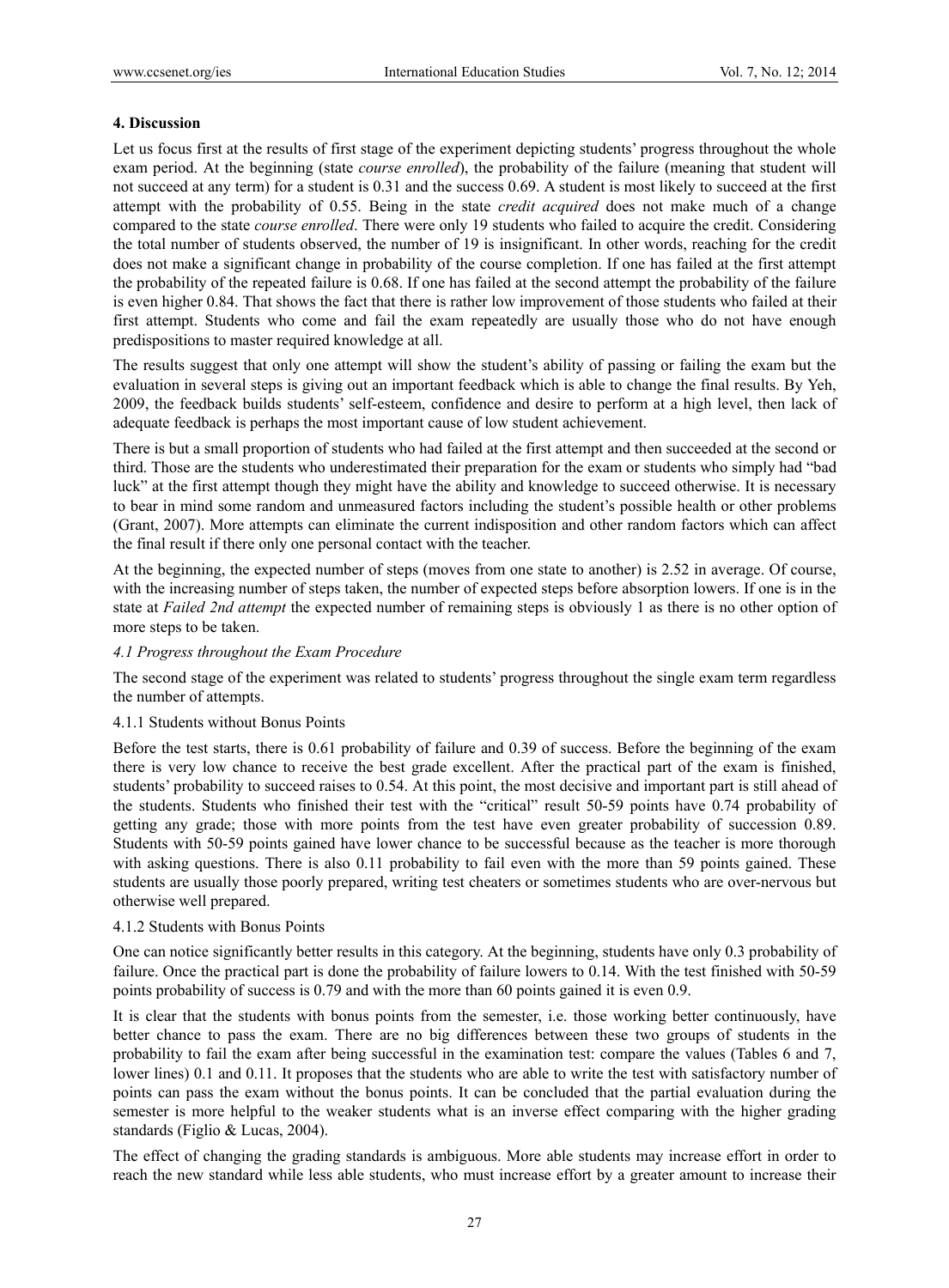## **4. Discussion**

Let us focus first at the results of first stage of the experiment depicting students' progress throughout the whole exam period. At the beginning (state *course enrolled*), the probability of the failure (meaning that student will not succeed at any term) for a student is 0.31 and the success 0.69. A student is most likely to succeed at the first attempt with the probability of 0.55. Being in the state *credit acquired* does not make much of a change compared to the state *course enrolled*. There were only 19 students who failed to acquire the credit. Considering the total number of students observed, the number of 19 is insignificant. In other words, reaching for the credit does not make a significant change in probability of the course completion. If one has failed at the first attempt the probability of the repeated failure is 0.68. If one has failed at the second attempt the probability of the failure is even higher 0.84. That shows the fact that there is rather low improvement of those students who failed at their first attempt. Students who come and fail the exam repeatedly are usually those who do not have enough predispositions to master required knowledge at all.

The results suggest that only one attempt will show the student's ability of passing or failing the exam but the evaluation in several steps is giving out an important feedback which is able to change the final results. By Yeh, 2009, the feedback builds students' self-esteem, confidence and desire to perform at a high level, then lack of adequate feedback is perhaps the most important cause of low student achievement.

There is but a small proportion of students who had failed at the first attempt and then succeeded at the second or third. Those are the students who underestimated their preparation for the exam or students who simply had "bad luck" at the first attempt though they might have the ability and knowledge to succeed otherwise. It is necessary to bear in mind some random and unmeasured factors including the student's possible health or other problems (Grant, 2007). More attempts can eliminate the current indisposition and other random factors which can affect the final result if there only one personal contact with the teacher.

At the beginning, the expected number of steps (moves from one state to another) is 2.52 in average. Of course, with the increasing number of steps taken, the number of expected steps before absorption lowers. If one is in the state at *Failed 2nd attempt* the expected number of remaining steps is obviously 1 as there is no other option of more steps to be taken.

## *4.1 Progress throughout the Exam Procedure*

The second stage of the experiment was related to students' progress throughout the single exam term regardless the number of attempts.

## 4.1.1 Students without Bonus Points

Before the test starts, there is 0.61 probability of failure and 0.39 of success. Before the beginning of the exam there is very low chance to receive the best grade excellent. After the practical part of the exam is finished, students' probability to succeed raises to 0.54. At this point, the most decisive and important part is still ahead of the students. Students who finished their test with the "critical" result 50-59 points have 0.74 probability of getting any grade; those with more points from the test have even greater probability of succession 0.89. Students with 50-59 points gained have lower chance to be successful because as the teacher is more thorough with asking questions. There is also 0.11 probability to fail even with the more than 59 points gained. These students are usually those poorly prepared, writing test cheaters or sometimes students who are over-nervous but otherwise well prepared.

## 4.1.2 Students with Bonus Points

One can notice significantly better results in this category. At the beginning, students have only 0.3 probability of failure. Once the practical part is done the probability of failure lowers to 0.14. With the test finished with 50-59 points probability of success is 0.79 and with the more than 60 points gained it is even 0.9.

It is clear that the students with bonus points from the semester, i.e. those working better continuously, have better chance to pass the exam. There are no big differences between these two groups of students in the probability to fail the exam after being successful in the examination test: compare the values (Tables 6 and 7, lower lines) 0.1 and 0.11. It proposes that the students who are able to write the test with satisfactory number of points can pass the exam without the bonus points. It can be concluded that the partial evaluation during the semester is more helpful to the weaker students what is an inverse effect comparing with the higher grading standards (Figlio & Lucas, 2004).

The effect of changing the grading standards is ambiguous. More able students may increase effort in order to reach the new standard while less able students, who must increase effort by a greater amount to increase their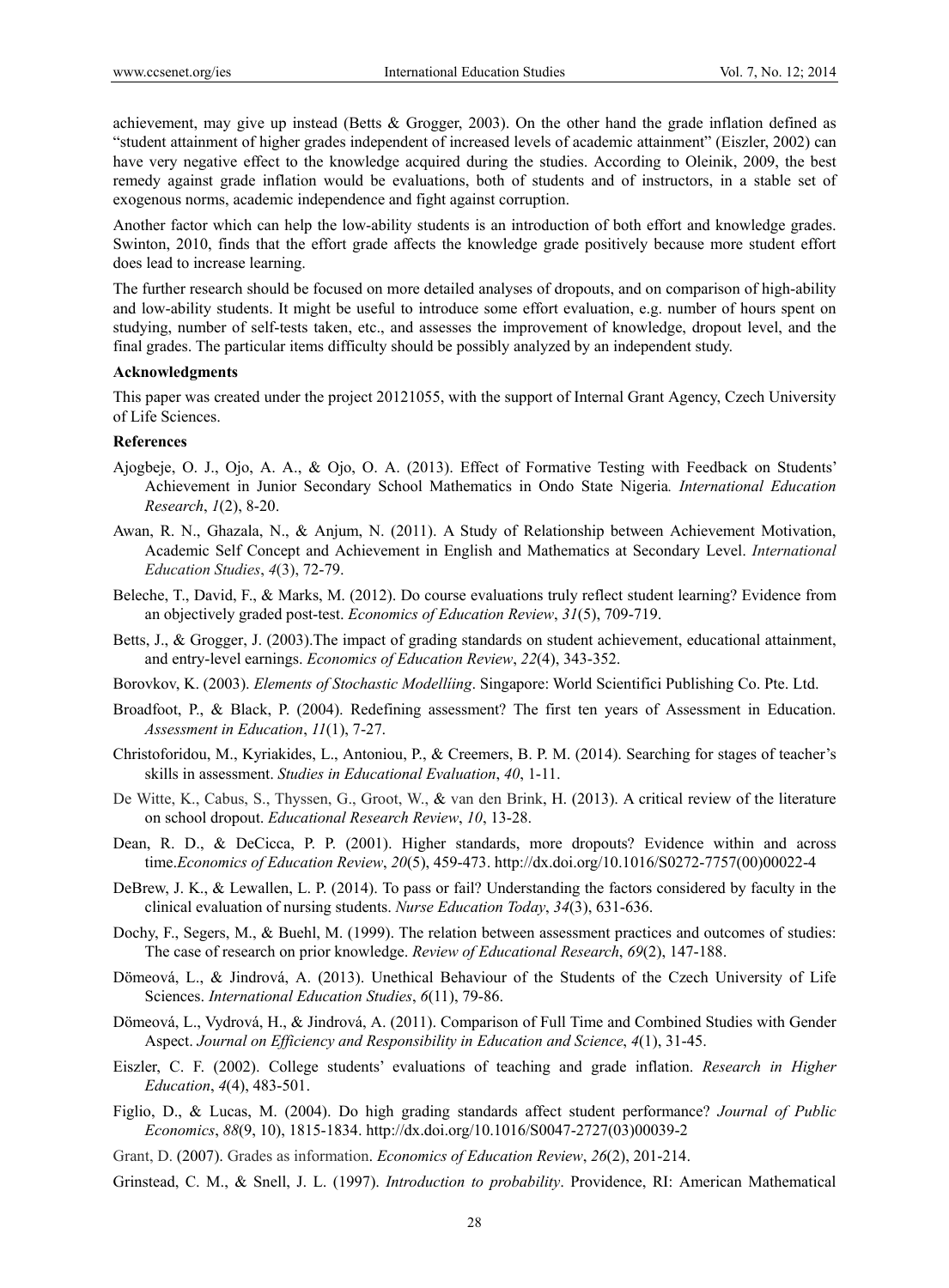achievement, may give up instead (Betts & Grogger, 2003). On the other hand the grade inflation defined as "student attainment of higher grades independent of increased levels of academic attainment" (Eiszler, 2002) can have very negative effect to the knowledge acquired during the studies. According to Oleinik, 2009, the best remedy against grade inflation would be evaluations, both of students and of instructors, in a stable set of exogenous norms, academic independence and fight against corruption.

Another factor which can help the low-ability students is an introduction of both effort and knowledge grades. Swinton, 2010, finds that the effort grade affects the knowledge grade positively because more student effort does lead to increase learning.

The further research should be focused on more detailed analyses of dropouts, and on comparison of high-ability and low-ability students. It might be useful to introduce some effort evaluation, e.g. number of hours spent on studying, number of self-tests taken, etc., and assesses the improvement of knowledge, dropout level, and the final grades. The particular items difficulty should be possibly analyzed by an independent study.

#### **Acknowledgments**

This paper was created under the project 20121055, with the support of Internal Grant Agency, Czech University of Life Sciences.

## **References**

- Ajogbeje, O. J., Ojo, A. A., & Ojo, O. A. (2013). Effect of Formative Testing with Feedback on Students' Achievement in Junior Secondary School Mathematics in Ondo State Nigeria*. International Education Research*, *1*(2), 8-20.
- Awan, R. N., Ghazala, N., & Anjum, N. (2011). A Study of Relationship between Achievement Motivation, Academic Self Concept and Achievement in English and Mathematics at Secondary Level. *International Education Studies*, *4*(3), 72-79.
- Beleche, T., David, F., & Marks, M. (2012). Do course evaluations truly reflect student learning? Evidence from an objectively graded post-test. *Economics of Education Review*, *31*(5), 709-719.
- Betts, J., & Grogger, J. (2003).The impact of grading standards on student achievement, educational attainment, and entry-level earnings. *Economics of Education Review*, *22*(4), 343-352.
- Borovkov, K. (2003). *Elements of Stochastic Modellíing*. Singapore: World Scientifici Publishing Co. Pte. Ltd.
- Broadfoot, P., & Black, P. (2004). Redefining assessment? The first ten years of Assessment in Education. *Assessment in Education*, *11*(1), 7-27.
- Christoforidou, M., Kyriakides, L., Antoniou, P., & Creemers, B. P. M. (2014). Searching for stages of teacher's skills in assessment. *Studies in Educational Evaluation*, *40*, 1-11.
- De Witte, K., Cabus, S., Thyssen, G., Groot, W., & van den Brink, H. (2013). A critical review of the literature on school dropout. *Educational Research Review*, *10*, 13-28.
- Dean, R. D., & DeCicca, P. P. (2001). Higher standards, more dropouts? Evidence within and across time.*Economics of Education Review*, *20*(5), 459-473. http://dx.doi.org/10.1016/S0272-7757(00)00022-4
- DeBrew, J. K., & Lewallen, L. P. (2014). To pass or fail? Understanding the factors considered by faculty in the clinical evaluation of nursing students. *Nurse Education Today*, *34*(3), 631-636.
- Dochy, F., Segers, M., & Buehl, M. (1999). The relation between assessment practices and outcomes of studies: The case of research on prior knowledge. *Review of Educational Research*, *69*(2), 147-188.
- Dömeová, L., & Jindrová, A. (2013). Unethical Behaviour of the Students of the Czech University of Life Sciences. *International Education Studies*, *6*(11), 79-86.
- Dömeová, L., Vydrová, H., & Jindrová, A. (2011). Comparison of Full Time and Combined Studies with Gender Aspect. *Journal on Efficiency and Responsibility in Education and Science*, *4*(1), 31-45.
- Eiszler, C. F. (2002). College students' evaluations of teaching and grade inflation. *Research in Higher Education*, *4*(4), 483-501.
- Figlio, D., & Lucas, M. (2004). Do high grading standards affect student performance? *Journal of Public Economics*, *88*(9, 10), 1815-1834. http://dx.doi.org/10.1016/S0047-2727(03)00039-2
- Grant, D. (2007). Grades as information. *Economics of Education Review*, *26*(2), 201-214.
- Grinstead, C. M., & Snell, J. L. (1997). *Introduction to probability*. Providence, RI: American Mathematical